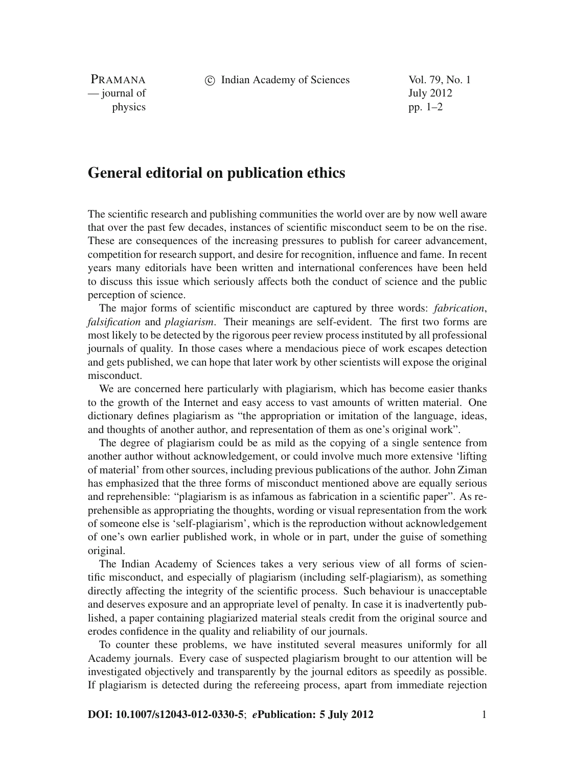c Indian Academy of Sciences Vol. 79, No. 1

PRAMANA — journal of July 2012 physics  $pp. 1-2$ 

## **General editorial on publication ethics**

The scientific research and publishing communities the world over are by now well aware that over the past few decades, instances of scientific misconduct seem to be on the rise. These are consequences of the increasing pressures to publish for career advancement, competition for research support, and desire for recognition, influence and fame. In recent years many editorials have been written and international conferences have been held to discuss this issue which seriously affects both the conduct of science and the public perception of science.

The major forms of scientific misconduct are captured by three words: *fabrication*, *falsification* and *plagiarism*. Their meanings are self-evident. The first two forms are most likely to be detected by the rigorous peer review process instituted by all professional journals of quality. In those cases where a mendacious piece of work escapes detection and gets published, we can hope that later work by other scientists will expose the original misconduct.

We are concerned here particularly with plagiarism, which has become easier thanks to the growth of the Internet and easy access to vast amounts of written material. One dictionary defines plagiarism as "the appropriation or imitation of the language, ideas, and thoughts of another author, and representation of them as one's original work".

The degree of plagiarism could be as mild as the copying of a single sentence from another author without acknowledgement, or could involve much more extensive 'lifting of material' from other sources, including previous publications of the author. John Ziman has emphasized that the three forms of misconduct mentioned above are equally serious and reprehensible: "plagiarism is as infamous as fabrication in a scientific paper". As reprehensible as appropriating the thoughts, wording or visual representation from the work of someone else is 'self-plagiarism', which is the reproduction without acknowledgement of one's own earlier published work, in whole or in part, under the guise of something original.

The Indian Academy of Sciences takes a very serious view of all forms of scientific misconduct, and especially of plagiarism (including self-plagiarism), as something directly affecting the integrity of the scientific process. Such behaviour is unacceptable and deserves exposure and an appropriate level of penalty. In case it is inadvertently published, a paper containing plagiarized material steals credit from the original source and erodes confidence in the quality and reliability of our journals.

To counter these problems, we have instituted several measures uniformly for all Academy journals. Every case of suspected plagiarism brought to our attention will be investigated objectively and transparently by the journal editors as speedily as possible. If plagiarism is detected during the refereeing process, apart from immediate rejection